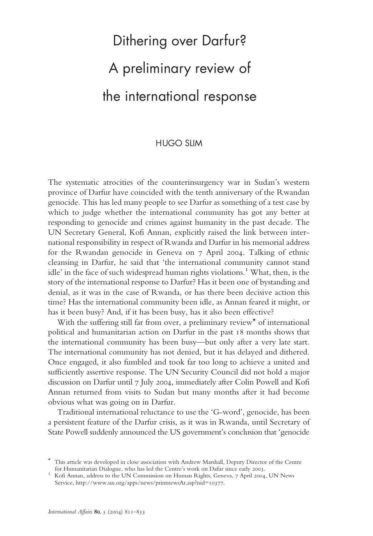# Dithering over Darfur? A preliminary review of the international response

## HUGO SLIM

The systematic atrocities of the counterinsurgency war in Sudan's western province of Darfur have coincided with the tenth anniversary of the Rwandan genocide. This has led many people to see Darfur as something of a test case by which to judge whether the international community has got any better at responding to genocide and crimes against humanity in the past decade. The UN Secretary General, Kofi Annan, explicitly raised the link between international responsibility in respect of Rwanda and Darfur in his memorial address for the Rwandan genocide in Geneva on 7 April 2004. Talking of ethnic cleansing in Darfur, he said that 'the international community cannot stand idle' in the face of such widespread human rights violations.<sup>1</sup> What, then, is the story of the international response to Darfur? Has it been one of bystanding and denial, as it was in the case of Rwanda, or has there been decisive action this time? Has the international community been idle, as Annan feared it might, or has it been busy? And, if it has been busy, has it also been effective?

With the suffering still far from over, a preliminary review<sup>\*</sup> of international political and humanitarian action on Darfur in the past 18 months shows that the international community has been busy—but only after a very late start. The international community has not denied, but it has delayed and dithered. Once engaged, it also fumbled and took far too long to achieve a united and sufficiently assertive response. The UN Security Council did not hold a major discussion on Darfur until 7 July 2004, immediately after Colin Powell and Kofi Annan returned from visits to Sudan but many months after it had become obvious what was going on in Darfur.

Traditional international reluctance to use the 'G-word', genocide, has been a persistent feature of the Darfur crisis, as it was in Rwanda, until Secretary of State Powell suddenly announced the US government's conclusion that 'genocide

<sup>\*</sup> This article was developed in close association with Andrew Marshall, Deputy Director of the Centre for Humanitarian Dialogue, who has led the Centre's work on Dafur since early 2003.<br><sup>1</sup> Kofi Annan, address to the UN Commission on Human Rights, Geneva, 7 April 2004, UN News

Service, http://www.un.org/apps/news/printnewsAr.asp?nid=10377.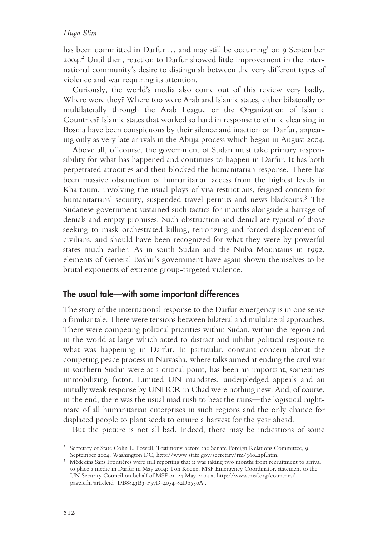has been committed in Darfur ... and may still be occurring' on 9 September 2004.<sup>2</sup> Until then, reaction to Darfur showed little improvement in the international community's desire to distinguish between the very different types of violence and war requiring its attention.

Curiously, the world's media also come out of this review very badly. Where were they? Where too were Arab and Islamic states, either bilaterally or multilaterally through the Arab League or the Organization of Islamic Countries? Islamic states that worked so hard in response to ethnic cleansing in Bosnia have been conspicuous by their silence and inaction on Darfur, appearing only as very late arrivals in the Abuja process which began in August 2004.

Above all, of course, the government of Sudan must take primary responsibility for what has happened and continues to happen in Darfur. It has both perpetrated atrocities and then blocked the humanitarian response. There has been massive obstruction of humanitarian access from the highest levels in Khartoum, involving the usual ploys of visa restrictions, feigned concern for humanitarians' security, suspended travel permits and news blackouts.<sup>3</sup> The Sudanese government sustained such tactics for months alongside a barrage of denials and empty promises. Such obstruction and denial are typical of those seeking to mask orchestrated killing, terrorizing and forced displacement of civilians, and should have been recognized for what they were by powerful states much earlier. As in south Sudan and the Nuba Mountains in 1992, elements of General Bashir's government have again shown themselves to be brutal exponents of extreme group-targeted violence.

## **The usual tale—with some important differences**

The story of the international response to the Darfur emergency is in one sense a familiar tale. There were tensions between bilateral and multilateral approaches. There were competing political priorities within Sudan, within the region and in the world at large which acted to distract and inhibit political response to what was happening in Darfur. In particular, constant concern about the competing peace process in Naivasha, where talks aimed at ending the civil war in southern Sudan were at a critical point, has been an important, sometimes immobilizing factor. Limited UN mandates, underpledged appeals and an initially weak response by UNHCR in Chad were nothing new. And, of course, in the end, there was the usual mad rush to beat the rains—the logistical nightmare of all humanitarian enterprises in such regions and the only chance for displaced people to plant seeds to ensure a harvest for the year ahead.

But the picture is not all bad. Indeed, there may be indications of some

<sup>&</sup>lt;sup>2</sup> Secretary of State Colin L. Powell, Testimony before the Senate Foreign Relations Committee, 9

September 2004, Washington DC, http://www.state.gov/secretary/rm/36042pf.htm.<br><sup>3</sup> Médecins Sans Frontières were still reporting that it was taking two months from recruitment to arrival to place a medic in Darfur in May 2004: Ton Koene, MSF Emergency Coordinator, statement to the UN Security Council on behalf of MSF on 24 May 2004 at http://www.msf.org/countries/ page.cfm?articleid=DB8843B3-F57D-4054-82D6530A..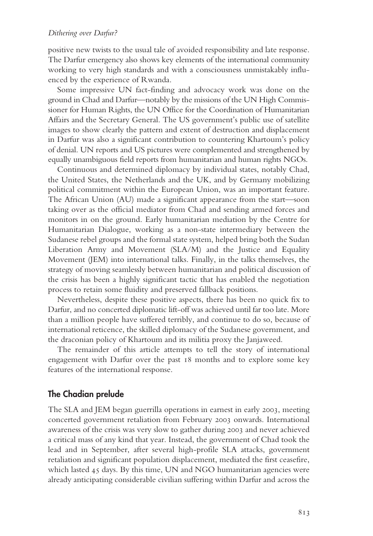positive new twists to the usual tale of avoided responsibility and late response. The Darfur emergency also shows key elements of the international community working to very high standards and with a consciousness unmistakably influenced by the experience of Rwanda.

Some impressive UN fact-finding and advocacy work was done on the ground in Chad and Darfur—notably by the missions of the UN High Commissioner for Human Rights, the UN Office for the Coordination of Humanitarian Affairs and the Secretary General. The US government's public use of satellite images to show clearly the pattern and extent of destruction and displacement in Darfur was also a significant contribution to countering Khartoum's policy of denial. UN reports and US pictures were complemented and strengthened by equally unambiguous field reports from humanitarian and human rights NGOs.

Continuous and determined diplomacy by individual states, notably Chad, the United States, the Netherlands and the UK, and by Germany mobilizing political commitment within the European Union, was an important feature. The African Union (AU) made a significant appearance from the start—soon taking over as the official mediator from Chad and sending armed forces and monitors in on the ground. Early humanitarian mediation by the Centre for Humanitarian Dialogue, working as a non-state intermediary between the Sudanese rebel groups and the formal state system, helped bring both the Sudan Liberation Army and Movement (SLA/M) and the Justice and Equality Movement (JEM) into international talks. Finally, in the talks themselves, the strategy of moving seamlessly between humanitarian and political discussion of the crisis has been a highly significant tactic that has enabled the negotiation process to retain some fluidity and preserved fallback positions.

Nevertheless, despite these positive aspects, there has been no quick fix to Darfur, and no concerted diplomatic lift-off was achieved until far too late. More than a million people have suffered terribly, and continue to do so, because of international reticence, the skilled diplomacy of the Sudanese government, and the draconian policy of Khartoum and its militia proxy the Janjaweed.

The remainder of this article attempts to tell the story of international engagement with Darfur over the past 18 months and to explore some key features of the international response.

# **The Chadian prelude**

The SLA and JEM began guerrilla operations in earnest in early 2003, meeting concerted government retaliation from February 2003 onwards. International awareness of the crisis was very slow to gather during 2003 and never achieved a critical mass of any kind that year. Instead, the government of Chad took the lead and in September, after several high-profile SLA attacks, government retaliation and significant population displacement, mediated the first ceasefire, which lasted 45 days. By this time, UN and NGO humanitarian agencies were already anticipating considerable civilian suffering within Darfur and across the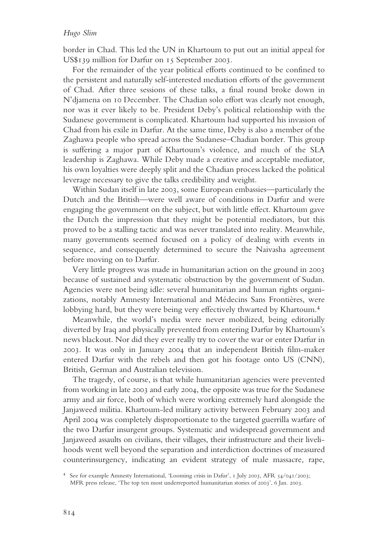border in Chad. This led the UN in Khartoum to put out an initial appeal for US\$139 million for Darfur on 15 September 2003.

For the remainder of the year political efforts continued to be confined to the persistent and naturally self-interested mediation efforts of the government of Chad. After three sessions of these talks, a final round broke down in N'djamena on 10 December. The Chadian solo effort was clearly not enough, nor was it ever likely to be. President Deby's political relationship with the Sudanese government is complicated. Khartoum had supported his invasion of Chad from his exile in Darfur. At the same time, Deby is also a member of the Zaghawa people who spread across the Sudanese–Chadian border. This group is suffering a major part of Khartoum's violence, and much of the SLA leadership is Zaghawa. While Deby made a creative and acceptable mediator, his own loyalties were deeply split and the Chadian process lacked the political leverage necessary to give the talks credibility and weight.

Within Sudan itself in late 2003, some European embassies—particularly the Dutch and the British—were well aware of conditions in Darfur and were engaging the government on the subject, but with little effect. Khartoum gave the Dutch the impression that they might be potential mediators, but this proved to be a stalling tactic and was never translated into reality. Meanwhile, many governments seemed focused on a policy of dealing with events in sequence, and consequently determined to secure the Naivasha agreement before moving on to Darfur.

Very little progress was made in humanitarian action on the ground in 2003 because of sustained and systematic obstruction by the government of Sudan. Agencies were not being idle: several humanitarian and human rights organizations, notably Amnesty International and Médecins Sans Frontières, were lobbying hard, but they were being very effectively thwarted by Khartoum.<sup>4</sup>

Meanwhile, the world's media were never mobilized, being editorially diverted by Iraq and physically prevented from entering Darfur by Khartoum's news blackout. Nor did they ever really try to cover the war or enter Darfur in 2003. It was only in January 2004 that an independent British film-maker entered Darfur with the rebels and then got his footage onto US (CNN), British, German and Australian television.

The tragedy, of course, is that while humanitarian agencies were prevented from working in late 2003 and early 2004, the opposite was true for the Sudanese army and air force, both of which were working extremely hard alongside the Janjaweed militia. Khartoum-led military activity between February 2003 and April 2004 was completely disproportionate to the targeted guerrilla warfare of the two Darfur insurgent groups. Systematic and widespread government and Janjaweed assaults on civilians, their villages, their infrastructure and their livelihoods went well beyond the separation and interdiction doctrines of measured counterinsurgency, indicating an evident strategy of male massacre, rape,

<sup>4</sup> See for example Amnesty International, 'Looming crisis in Dafur', 1 July 2003, AFR 54/041/2003; MFR press release, 'The top ten most underreported humanitarian stories of 2003', 6 Jan. 2003.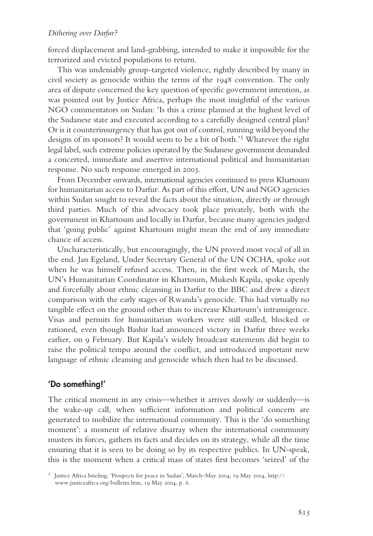forced displacement and land-grabbing, intended to make it impossible for the terrorized and evicted populations to return.

This was undeniably group-targeted violence, rightly described by many in civil society as genocide within the terms of the 1948 convention. The only area of dispute concerned the key question of specific government intention, as was pointed out by Justice Africa, perhaps the most insightful of the various NGO commentators on Sudan: 'Is this a crime planned at the highest level of the Sudanese state and executed according to a carefully designed central plan? Or is it counterinsurgency that has got out of control, running wild beyond the designs of its sponsors? It would seem to be a bit of both.'5 Whatever the right legal label, such extreme policies operated by the Sudanese government demanded a concerted, immediate and assertive international political and humanitarian response. No such response emerged in 2003.

From December onwards, international agencies continued to press Khartoum for humanitarian access to Darfur. As part of this effort, UN and NGO agencies within Sudan sought to reveal the facts about the situation, directly or through third parties. Much of this advocacy took place privately, both with the government in Khartoum and locally in Darfur, because many agencies judged that 'going public' against Khartoum might mean the end of any immediate chance of access.

Uncharacteristically, but encouragingly, the UN proved most vocal of all in the end. Jan Egeland, Under Secretary General of the UN OCHA, spoke out when he was himself refused access. Then, in the first week of March, the UN's Humanitarian Coordinator in Khartoum, Mukesh Kapila, spoke openly and forcefully about ethnic cleansing in Darfur to the BBC and drew a direct comparison with the early stages of Rwanda's genocide. This had virtually no tangible effect on the ground other than to increase Khartoum's intransigence. Visas and permits for humanitarian workers were still stalled, blocked or rationed, even though Bashir had announced victory in Darfur three weeks earlier, on 9 February. But Kapila's widely broadcast statements did begin to raise the political tempo around the conflict, and introduced important new language of ethnic cleansing and genocide which then had to be discussed.

### **'Do something!'**

The critical moment in any crisis—whether it arrives slowly or suddenly—is the wake-up call, when sufficient information and political concern are generated to mobilize the international community. This is the 'do something moment': a moment of relative disarray when the international community musters its forces, gathers its facts and decides on its strategy, while all the time ensuring that it is seen to be doing so by its respective publics. In UN-speak, this is the moment when a critical mass of states first becomes 'seized' of the

<sup>5</sup> Justice Africa briefing, 'Prospects for peace in Sudan', March–May 2004, 19 May 2004, http:// www.justiceafrica.org/bulletin.htm, 19 May 2004, p. 6.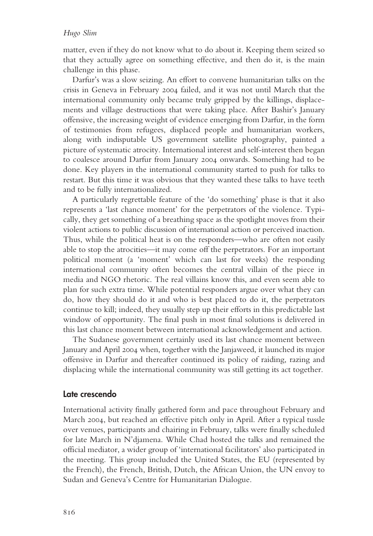matter, even if they do not know what to do about it. Keeping them seized so that they actually agree on something effective, and then do it, is the main challenge in this phase.

Darfur's was a slow seizing. An effort to convene humanitarian talks on the crisis in Geneva in February 2004 failed, and it was not until March that the international community only became truly gripped by the killings, displacements and village destructions that were taking place. After Bashir's January offensive, the increasing weight of evidence emerging from Darfur, in the form of testimonies from refugees, displaced people and humanitarian workers, along with indisputable US government satellite photography, painted a picture of systematic atrocity. International interest and self-interest then began to coalesce around Darfur from January 2004 onwards. Something had to be done. Key players in the international community started to push for talks to restart. But this time it was obvious that they wanted these talks to have teeth and to be fully internationalized.

A particularly regrettable feature of the 'do something' phase is that it also represents a 'last chance moment' for the perpetrators of the violence. Typically, they get something of a breathing space as the spotlight moves from their violent actions to public discussion of international action or perceived inaction. Thus, while the political heat is on the responders—who are often not easily able to stop the atrocities—it may come off the perpetrators. For an important political moment (a 'moment' which can last for weeks) the responding international community often becomes the central villain of the piece in media and NGO rhetoric. The real villains know this, and even seem able to plan for such extra time. While potential responders argue over what they can do, how they should do it and who is best placed to do it, the perpetrators continue to kill; indeed, they usually step up their efforts in this predictable last window of opportunity. The final push in most final solutions is delivered in this last chance moment between international acknowledgement and action.

The Sudanese government certainly used its last chance moment between January and April 2004 when, together with the Janjaweed, it launched its major offensive in Darfur and thereafter continued its policy of raiding, razing and displacing while the international community was still getting its act together.

### **Late crescendo**

International activity finally gathered form and pace throughout February and March 2004, but reached an effective pitch only in April. After a typical tussle over venues, participants and chairing in February, talks were finally scheduled for late March in N'djamena. While Chad hosted the talks and remained the official mediator, a wider group of 'international facilitators' also participated in the meeting. This group included the United States, the EU (represented by the French), the French, British, Dutch, the African Union, the UN envoy to Sudan and Geneva's Centre for Humanitarian Dialogue.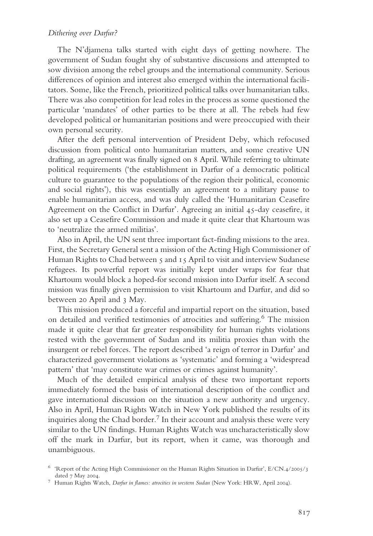The N'djamena talks started with eight days of getting nowhere. The government of Sudan fought shy of substantive discussions and attempted to sow division among the rebel groups and the international community. Serious differences of opinion and interest also emerged within the international facilitators. Some, like the French, prioritized political talks over humanitarian talks. There was also competition for lead roles in the process as some questioned the particular 'mandates' of other parties to be there at all. The rebels had few developed political or humanitarian positions and were preoccupied with their own personal security.

After the deft personal intervention of President Deby, which refocused discussion from political onto humanitarian matters, and some creative UN drafting, an agreement was finally signed on 8 April. While referring to ultimate political requirements ('the establishment in Darfur of a democratic political culture to guarantee to the populations of the region their political, economic and social rights'), this was essentially an agreement to a military pause to enable humanitarian access, and was duly called the 'Humanitarian Ceasefire Agreement on the Conflict in Darfur'. Agreeing an initial 45-day ceasefire, it also set up a Ceasefire Commission and made it quite clear that Khartoum was to 'neutralize the armed militias'.

Also in April, the UN sent three important fact-finding missions to the area. First, the Secretary General sent a mission of the Acting High Commissioner of Human Rights to Chad between 5 and 15 April to visit and interview Sudanese refugees. Its powerful report was initially kept under wraps for fear that Khartoum would block a hoped-for second mission into Darfur itself. A second mission was finally given permission to visit Khartoum and Darfur, and did so between 20 April and 3 May.

This mission produced a forceful and impartial report on the situation, based on detailed and verified testimonies of atrocities and suffering.<sup>6</sup> The mission made it quite clear that far greater responsibility for human rights violations rested with the government of Sudan and its militia proxies than with the insurgent or rebel forces. The report described 'a reign of terror in Darfur' and characterized government violations as 'systematic' and forming a 'widespread pattern' that 'may constitute war crimes or crimes against humanity'.

Much of the detailed empirical analysis of these two important reports immediately formed the basis of international description of the conflict and gave international discussion on the situation a new authority and urgency. Also in April, Human Rights Watch in New York published the results of its inquiries along the Chad border.<sup>7</sup> In their account and analysis these were very similar to the UN findings. Human Rights Watch was uncharacteristically slow off the mark in Darfur, but its report, when it came, was thorough and unambiguous.

<sup>&</sup>lt;sup>6</sup> 'Report of the Acting High Commissioner on the Human Rights Situation in Darfur', E/CN.4/2005/3 dated 7 May 2004.

<sup>&</sup>lt;sup>7</sup> Human Rights Watch, *Darfur in flames: atrocities in western Sudan* (New York: HRW, April 2004).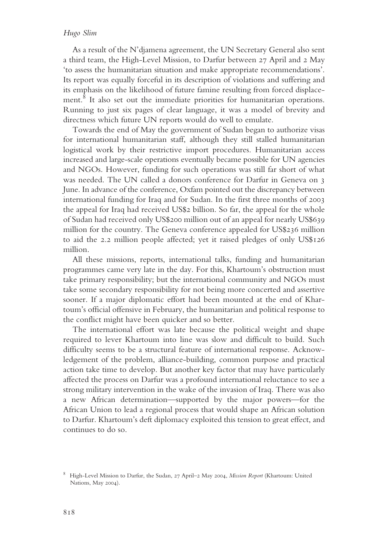As a result of the N'djamena agreement, the UN Secretary General also sent a third team, the High-Level Mission, to Darfur between 27 April and 2 May 'to assess the humanitarian situation and make appropriate recommendations'. Its report was equally forceful in its description of violations and suffering and its emphasis on the likelihood of future famine resulting from forced displacement. $8$  It also set out the immediate priorities for humanitarian operations. Running to just six pages of clear language, it was a model of brevity and directness which future UN reports would do well to emulate.

Towards the end of May the government of Sudan began to authorize visas for international humanitarian staff, although they still stalled humanitarian logistical work by their restrictive import procedures. Humanitarian access increased and large-scale operations eventually became possible for UN agencies and NGOs. However, funding for such operations was still far short of what was needed. The UN called a donors conference for Darfur in Geneva on 3 June. In advance of the conference, Oxfam pointed out the discrepancy between international funding for Iraq and for Sudan. In the first three months of 2003 the appeal for Iraq had received US\$2 billion. So far, the appeal for the whole of Sudan had received only US\$200 million out of an appeal for nearly US\$639 million for the country. The Geneva conference appealed for US\$236 million to aid the 2.2 million people affected; yet it raised pledges of only US\$126 million.

All these missions, reports, international talks, funding and humanitarian programmes came very late in the day. For this, Khartoum's obstruction must take primary responsibility; but the international community and NGOs must take some secondary responsibility for not being more concerted and assertive sooner. If a major diplomatic effort had been mounted at the end of Khartoum's official offensive in February, the humanitarian and political response to the conflict might have been quicker and so better.

The international effort was late because the political weight and shape required to lever Khartoum into line was slow and difficult to build. Such difficulty seems to be a structural feature of international response. Acknowledgement of the problem, alliance-building, common purpose and practical action take time to develop. But another key factor that may have particularly affected the process on Darfur was a profound international reluctance to see a strong military intervention in the wake of the invasion of Iraq. There was also a new African determination—supported by the major powers—for the African Union to lead a regional process that would shape an African solution to Darfur. Khartoum's deft diplomacy exploited this tension to great effect, and continues to do so.

<sup>8</sup> High-Level Mission to Darfur, the Sudan, 27 April–2 May 2004, *Mission Report* (Khartoum: United Nations, May 2004).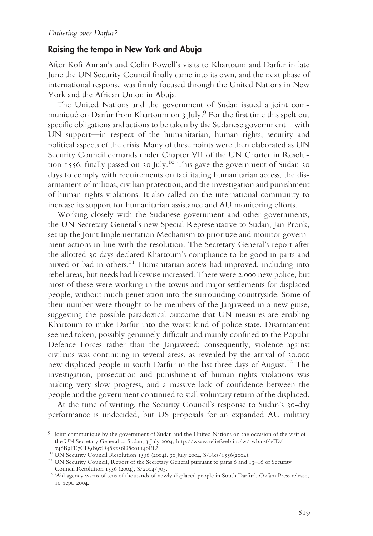## **Raising the tempo in New York and Abuja**

After Kofi Annan's and Colin Powell's visits to Khartoum and Darfur in late June the UN Security Council finally came into its own, and the next phase of international response was firmly focused through the United Nations in New York and the African Union in Abuja.

The United Nations and the government of Sudan issued a joint communiqué on Darfur from Khartoum on 3 July.9 For the first time this spelt out specific obligations and actions to be taken by the Sudanese government—with UN support—in respect of the humanitarian, human rights, security and political aspects of the crisis. Many of these points were then elaborated as UN Security Council demands under Chapter VII of the UN Charter in Resolution 1556, finally passed on 30 July.<sup>10</sup> This gave the government of Sudan 30 days to comply with requirements on facilitating humanitarian access, the disarmament of militias, civilian protection, and the investigation and punishment of human rights violations. It also called on the international community to increase its support for humanitarian assistance and AU monitoring efforts.

Working closely with the Sudanese government and other governments, the UN Secretary General's new Special Representative to Sudan, Jan Pronk, set up the Joint Implementation Mechanism to prioritize and monitor government actions in line with the resolution. The Secretary General's report after the allotted 30 days declared Khartoum's compliance to be good in parts and mixed or bad in others.<sup>11</sup> Humanitarian access had improved, including into rebel areas, but needs had likewise increased. There were 2,000 new police, but most of these were working in the towns and major settlements for displaced people, without much penetration into the surrounding countryside. Some of their number were thought to be members of the Janjaweed in a new guise, suggesting the possible paradoxical outcome that UN measures are enabling Khartoum to make Darfur into the worst kind of police state. Disarmament seemed token, possibly genuinely difficult and mainly confined to the Popular Defence Forces rather than the Janjaweed; consequently, violence against civilians was continuing in several areas, as revealed by the arrival of 30,000 new displaced people in south Darfur in the last three days of August.12 The investigation, prosecution and punishment of human rights violations was making very slow progress, and a massive lack of confidence between the people and the government continued to stall voluntary return of the displaced.

At the time of writing, the Security Council's response to Sudan's 30-day performance is undecided, but US proposals for an expanded AU military

<sup>9</sup> Joint communiqué by the government of Sudan and the United Nations on the occasion of the visit of the UN Secretary General to Sudan, 3 July 2004, http://www.reliefweb.int/w/rwb.nsf/vID/

<sup>746</sup>B9FE7CD9B97D485256D8001140EE?<br><sup>10</sup> UN Security Council Resolution 1556 (2004), 30 July 2004, S/Res/1556(2004).<br><sup>11</sup> UN Security Council, Report of the Secretary General pursuant to paras 6 and 13–16 of Security Council Resolution 1556 (2004), S/2004/703. <sup>12</sup> 'Aid agency warns of tens of thousands of newly displaced people in South Darfur', Oxfam Press release,

<sup>10</sup> Sept. 2004.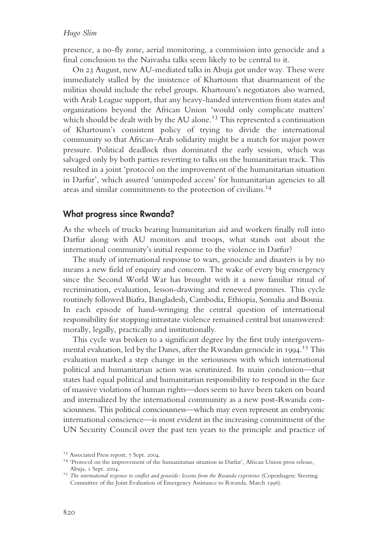presence, a no-fly zone, aerial monitoring, a commission into genocide and a final conclusion to the Naivasha talks seem likely to be central to it.

On 23 August, new AU-mediated talks in Abuja got under way. These were immediately stalled by the insistence of Khartoum that disarmament of the militias should include the rebel groups. Khartoum's negotiators also warned, with Arab League support, that any heavy-handed intervention from states and organizations beyond the African Union 'would only complicate matters' which should be dealt with by the AU alone.<sup>13</sup> This represented a continuation of Khartoum's consistent policy of trying to divide the international community so that African–Arab solidarity might be a match for major power pressure. Political deadlock thus dominated the early session, which was salvaged only by both parties reverting to talks on the humanitarian track. This resulted in a joint 'protocol on the improvement of the humanitarian situation in Darfur', which assured 'unimpeded access' for humanitarian agencies to all areas and similar commitments to the protection of civilians.<sup>14</sup>

## **What progress since Rwanda?**

As the wheels of trucks bearing humanitarian aid and workers finally roll into Darfur along with AU monitors and troops, what stands out about the international community's initial response to the violence in Darfur?

The study of international response to wars, genocide and disasters is by no means a new field of enquiry and concern. The wake of every big emergency since the Second World War has brought with it a now familiar ritual of recrimination, evaluation, lesson-drawing and renewed promises. This cycle routinely followed Biafra, Bangladesh, Cambodia, Ethiopia, Somalia and Bosnia. In each episode of hand-wringing the central question of international responsibility for stopping intrastate violence remained central but unanswered: morally, legally, practically and institutionally.

This cycle was broken to a significant degree by the first truly intergovernmental evaluation, led by the Danes, after the Rwandan genocide in 1994.<sup>15</sup> This evaluation marked a step change in the seriousness with which international political and humanitarian action was scrutinized. Its main conclusion—that states had equal political and humanitarian responsibility to respond in the face of massive violations of human rights—does seem to have been taken on board and internalized by the international community as a new post-Rwanda consciousness. This political consciousness—which may even represent an embryonic international conscience—is most evident in the increasing commitment of the UN Security Council over the past ten years to the principle and practice of

<sup>&</sup>lt;sup>13</sup> Associated Press report, 7 Sept. 2004.<br><sup>14</sup> 'Protocol on the improvement of the humanitarian situation in Darfur', African Union press release, Abuja, 1 Sept. 2004. <sup>15</sup> *The international response to conflict and genocide: lessons from the Rwanda experience* (Copenhagen: Steering

Committee of the Joint Evaluation of Emergency Assistance to Rwanda, March 1996).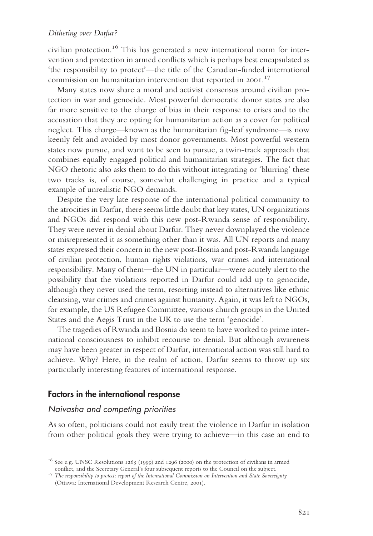civilian protection.16 This has generated a new international norm for intervention and protection in armed conflicts which is perhaps best encapsulated as 'the responsibility to protect'—the title of the Canadian-funded international commission on humanitarian intervention that reported in 2001.<sup>17</sup>

Many states now share a moral and activist consensus around civilian protection in war and genocide. Most powerful democratic donor states are also far more sensitive to the charge of bias in their response to crises and to the accusation that they are opting for humanitarian action as a cover for political neglect. This charge—known as the humanitarian fig-leaf syndrome—is now keenly felt and avoided by most donor governments. Most powerful western states now pursue, and want to be seen to pursue, a twin-track approach that combines equally engaged political and humanitarian strategies. The fact that NGO rhetoric also asks them to do this without integrating or 'blurring' these two tracks is, of course, somewhat challenging in practice and a typical example of unrealistic NGO demands.

Despite the very late response of the international political community to the atrocities in Darfur, there seems little doubt that key states, UN organizations and NGOs did respond with this new post-Rwanda sense of responsibility. They were never in denial about Darfur. They never downplayed the violence or misrepresented it as something other than it was. All UN reports and many states expressed their concern in the new post-Bosnia and post-Rwanda language of civilian protection, human rights violations, war crimes and international responsibility. Many of them—the UN in particular—were acutely alert to the possibility that the violations reported in Darfur could add up to genocide, although they never used the term, resorting instead to alternatives like ethnic cleansing, war crimes and crimes against humanity. Again, it was left to NGOs, for example, the US Refugee Committee, various church groups in the United States and the Aegis Trust in the UK to use the term 'genocide'.

The tragedies of Rwanda and Bosnia do seem to have worked to prime international consciousness to inhibit recourse to denial. But although awareness may have been greater in respect of Darfur, international action was still hard to achieve. Why? Here, in the realm of action, Darfur seems to throw up six particularly interesting features of international response.

## **Factors in the international response**

#### Naivasha and competing priorities

As so often, politicians could not easily treat the violence in Darfur in isolation from other political goals they were trying to achieve—in this case an end to

<sup>&</sup>lt;sup>16</sup> See e.g. UNSC Resolutions 1265 (1999) and 1296 (2000) on the protection of civilians in armed conflict, and the Secretary General's four subsequent reports to the Council on the subject.

<sup>&</sup>lt;sup>17</sup> The responsibility to protect: report of the International Commission on Intervention and State Sovereignty (Ottawa: International Development Research Centre, 2001).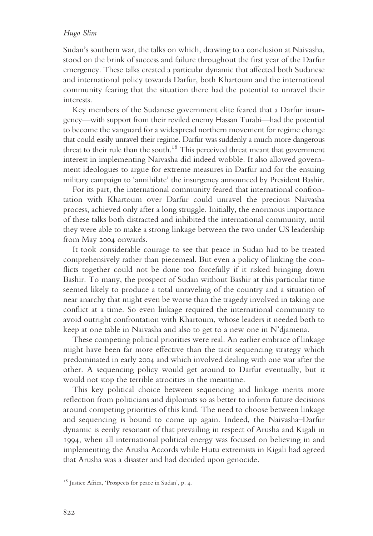Sudan's southern war, the talks on which, drawing to a conclusion at Naivasha, stood on the brink of success and failure throughout the first year of the Darfur emergency. These talks created a particular dynamic that affected both Sudanese and international policy towards Darfur, both Khartoum and the international community fearing that the situation there had the potential to unravel their interests.

Key members of the Sudanese government elite feared that a Darfur insurgency—with support from their reviled enemy Hassan Turabi—had the potential to become the vanguard for a widespread northern movement for regime change that could easily unravel their regime. Darfur was suddenly a much more dangerous threat to their rule than the south. $18$  This perceived threat meant that government interest in implementing Naivasha did indeed wobble. It also allowed government ideologues to argue for extreme measures in Darfur and for the ensuing military campaign to 'annihilate' the insurgency announced by President Bashir.

For its part, the international community feared that international confrontation with Khartoum over Darfur could unravel the precious Naivasha process, achieved only after a long struggle. Initially, the enormous importance of these talks both distracted and inhibited the international community, until they were able to make a strong linkage between the two under US leadership from May 2004 onwards.

It took considerable courage to see that peace in Sudan had to be treated comprehensively rather than piecemeal. But even a policy of linking the conflicts together could not be done too forcefully if it risked bringing down Bashir. To many, the prospect of Sudan without Bashir at this particular time seemed likely to produce a total unraveling of the country and a situation of near anarchy that might even be worse than the tragedy involved in taking one conflict at a time. So even linkage required the international community to avoid outright confrontation with Khartoum, whose leaders it needed both to keep at one table in Naivasha and also to get to a new one in N'djamena.

These competing political priorities were real. An earlier embrace of linkage might have been far more effective than the tacit sequencing strategy which predominated in early 2004 and which involved dealing with one war after the other. A sequencing policy would get around to Darfur eventually, but it would not stop the terrible atrocities in the meantime.

This key political choice between sequencing and linkage merits more reflection from politicians and diplomats so as better to inform future decisions around competing priorities of this kind. The need to choose between linkage and sequencing is bound to come up again. Indeed, the Naivasha–Darfur dynamic is eerily resonant of that prevailing in respect of Arusha and Kigali in 1994, when all international political energy was focused on believing in and implementing the Arusha Accords while Hutu extremists in Kigali had agreed that Arusha was a disaster and had decided upon genocide.

<sup>&</sup>lt;sup>18</sup> Justice Africa, 'Prospects for peace in Sudan', p. 4.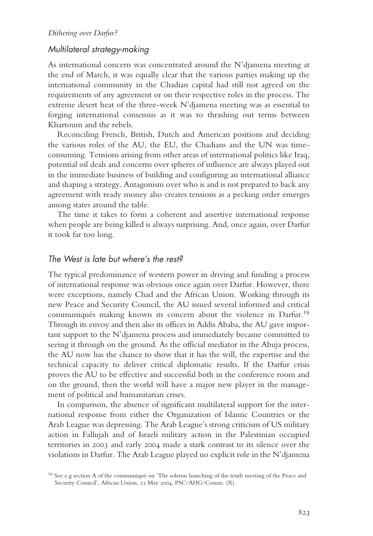## Multilateral strategy-making

As international concern was concentrated around the N'djamena meeting at the end of March, it was equally clear that the various parties making up the international community in the Chadian capital had still not agreed on the requirements of any agreement or on their respective roles in the process. The extreme desert heat of the three-week N'djamena meeting was as essential to forging international consensus as it was to thrashing out terms between Khartoum and the rebels.

Reconciling French, British, Dutch and American positions and deciding the various roles of the AU, the EU, the Chadians and the UN was timeconsuming. Tensions arising from other areas of international politics like Iraq, potential oil deals and concerns over spheres of influence are always played out in the immediate business of building and configuring an international alliance and shaping a strategy. Antagonism over who is and is not prepared to back any agreement with ready money also creates tensions as a pecking order emerges among states around the table.

The time it takes to form a coherent and assertive international response when people are being killed is always surprising. And, once again, over Darfur it took far too long.

## The West is late but where's the rest?

The typical predominance of western power in driving and funding a process of international response was obvious once again over Darfur. However, there were exceptions, namely Chad and the African Union. Working through its new Peace and Security Council, the AU issued several informed and critical communiqués making known its concern about the violence in Darfur.<sup>19</sup> Through its envoy and then also its offices in Addis Ababa, the AU gave important support to the N'djamena process and immediately became committed to seeing it through on the ground. As the official mediator in the Abuja process, the AU now has the chance to show that it has the will, the expertise and the technical capacity to deliver critical diplomatic results. If the Darfur crisis proves the AU to be effective and successful both in the conference room and on the ground, then the world will have a major new player in the management of political and humanitarian crises.

In comparison, the absence of significant multilateral support for the international response from either the Organization of Islamic Countries or the Arab League was depressing. The Arab League's strong criticism of US military action in Fallujah and of Israeli military action in the Palestinian occupied territories in 2003 and early 2004 made a stark contrast to its silence over the violations in Darfur. The Arab League played no explicit role in the N'djamena

<sup>&</sup>lt;sup>19</sup> See e.g section A of the communiqué on 'The solemn launching of the tenth meeting of the Peace and Security Council', African Union, 25 May 2004, PSC/AHG/Comm. (X).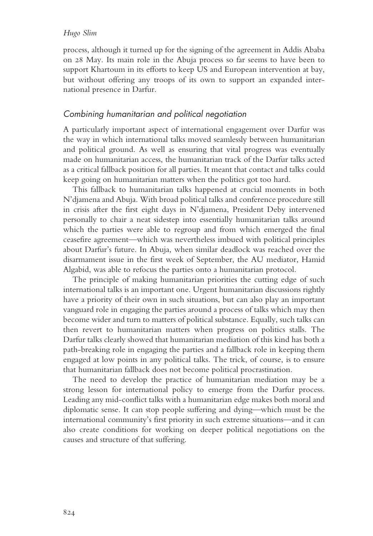process, although it turned up for the signing of the agreement in Addis Ababa on 28 May. Its main role in the Abuja process so far seems to have been to support Khartoum in its efforts to keep US and European intervention at bay, but without offering any troops of its own to support an expanded international presence in Darfur.

# Combining humanitarian and political negotiation

A particularly important aspect of international engagement over Darfur was the way in which international talks moved seamlessly between humanitarian and political ground. As well as ensuring that vital progress was eventually made on humanitarian access, the humanitarian track of the Darfur talks acted as a critical fallback position for all parties. It meant that contact and talks could keep going on humanitarian matters when the politics got too hard.

This fallback to humanitarian talks happened at crucial moments in both N'djamena and Abuja. With broad political talks and conference procedure still in crisis after the first eight days in N'djamena, President Deby intervened personally to chair a neat sidestep into essentially humanitarian talks around which the parties were able to regroup and from which emerged the final ceasefire agreement—which was nevertheless imbued with political principles about Darfur's future. In Abuja, when similar deadlock was reached over the disarmament issue in the first week of September, the AU mediator, Hamid Algabid, was able to refocus the parties onto a humanitarian protocol.

The principle of making humanitarian priorities the cutting edge of such international talks is an important one. Urgent humanitarian discussions rightly have a priority of their own in such situations, but can also play an important vanguard role in engaging the parties around a process of talks which may then become wider and turn to matters of political substance. Equally, such talks can then revert to humanitarian matters when progress on politics stalls. The Darfur talks clearly showed that humanitarian mediation of this kind has both a path-breaking role in engaging the parties and a fallback role in keeping them engaged at low points in any political talks. The trick, of course, is to ensure that humanitarian fallback does not become political procrastination.

The need to develop the practice of humanitarian mediation may be a strong lesson for international policy to emerge from the Darfur process. Leading any mid-conflict talks with a humanitarian edge makes both moral and diplomatic sense. It can stop people suffering and dying—which must be the international community's first priority in such extreme situations—and it can also create conditions for working on deeper political negotiations on the causes and structure of that suffering.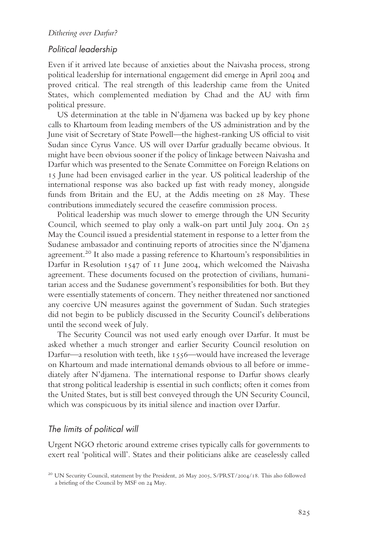## Political leadership

Even if it arrived late because of anxieties about the Naivasha process, strong political leadership for international engagement did emerge in April 2004 and proved critical. The real strength of this leadership came from the United States, which complemented mediation by Chad and the AU with firm political pressure.

US determination at the table in N'djamena was backed up by key phone calls to Khartoum from leading members of the US administration and by the June visit of Secretary of State Powell—the highest-ranking US official to visit Sudan since Cyrus Vance. US will over Darfur gradually became obvious. It might have been obvious sooner if the policy of linkage between Naivasha and Darfur which was presented to the Senate Committee on Foreign Relations on 15 June had been envisaged earlier in the year. US political leadership of the international response was also backed up fast with ready money, alongside funds from Britain and the EU, at the Addis meeting on 28 May. These contributions immediately secured the ceasefire commission process.

Political leadership was much slower to emerge through the UN Security Council, which seemed to play only a walk-on part until July 2004. On 25 May the Council issued a presidential statement in response to a letter from the Sudanese ambassador and continuing reports of atrocities since the N'djamena agreement.<sup>20</sup> It also made a passing reference to Khartoum's responsibilities in Darfur in Resolution 1547 of 11 June 2004, which welcomed the Naivasha agreement. These documents focused on the protection of civilians, humanitarian access and the Sudanese government's responsibilities for both. But they were essentially statements of concern. They neither threatened nor sanctioned any coercive UN measures against the government of Sudan. Such strategies did not begin to be publicly discussed in the Security Council's deliberations until the second week of July.

The Security Council was not used early enough over Darfur. It must be asked whether a much stronger and earlier Security Council resolution on Darfur—a resolution with teeth, like 1556—would have increased the leverage on Khartoum and made international demands obvious to all before or immediately after N'djamena. The international response to Darfur shows clearly that strong political leadership is essential in such conflicts; often it comes from the United States, but is still best conveyed through the UN Security Council, which was conspicuous by its initial silence and inaction over Darfur.

# The limits of political will

Urgent NGO rhetoric around extreme crises typically calls for governments to exert real 'political will'. States and their politicians alike are ceaselessly called

<sup>&</sup>lt;sup>20</sup> UN Security Council, statement by the President, 26 May 2005, S/PRST/2004/18. This also followed a briefing of the Council by MSF on 24 May.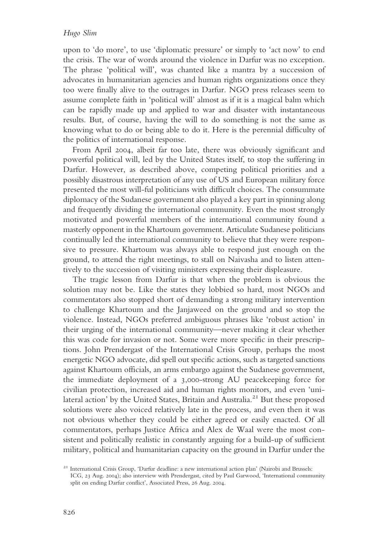upon to 'do more', to use 'diplomatic pressure' or simply to 'act now' to end the crisis. The war of words around the violence in Darfur was no exception. The phrase 'political will', was chanted like a mantra by a succession of advocates in humanitarian agencies and human rights organizations once they too were finally alive to the outrages in Darfur. NGO press releases seem to assume complete faith in 'political will' almost as if it is a magical balm which can be rapidly made up and applied to war and disaster with instantaneous results. But, of course, having the will to do something is not the same as knowing what to do or being able to do it. Here is the perennial difficulty of the politics of international response.

From April 2004, albeit far too late, there was obviously significant and powerful political will, led by the United States itself, to stop the suffering in Darfur. However, as described above, competing political priorities and a possibly disastrous interpretation of any use of US and European military force presented the most will-ful politicians with difficult choices. The consummate diplomacy of the Sudanese government also played a key part in spinning along and frequently dividing the international community. Even the most strongly motivated and powerful members of the international community found a masterly opponent in the Khartoum government. Articulate Sudanese politicians continually led the international community to believe that they were responsive to pressure. Khartoum was always able to respond just enough on the ground, to attend the right meetings, to stall on Naivasha and to listen attentively to the succession of visiting ministers expressing their displeasure.

The tragic lesson from Darfur is that when the problem is obvious the solution may not be. Like the states they lobbied so hard, most NGOs and commentators also stopped short of demanding a strong military intervention to challenge Khartoum and the Janjaweed on the ground and so stop the violence. Instead, NGOs preferred ambiguous phrases like 'robust action' in their urging of the international community—never making it clear whether this was code for invasion or not. Some were more specific in their prescriptions. John Prendergast of the International Crisis Group, perhaps the most energetic NGO advocate, did spell out specific actions, such as targeted sanctions against Khartoum officials, an arms embargo against the Sudanese government, the immediate deployment of a 3,000-strong AU peacekeeping force for civilian protection, increased aid and human rights monitors, and even 'unilateral action' by the United States, Britain and Australia.<sup>21</sup> But these proposed solutions were also voiced relatively late in the process, and even then it was not obvious whether they could be either agreed or easily enacted. Of all commentators, perhaps Justice Africa and Alex de Waal were the most consistent and politically realistic in constantly arguing for a build-up of sufficient military, political and humanitarian capacity on the ground in Darfur under the

<sup>&</sup>lt;sup>21</sup> International Crisis Group, 'Darfur deadline: a new international action plan' (Nairobi and Brussels: ICG, 23 Aug. 2004); also interview with Prendergast, cited by Paul Garwood, 'International community split on ending Darfur conflict', Associated Press, 26 Aug. 2004.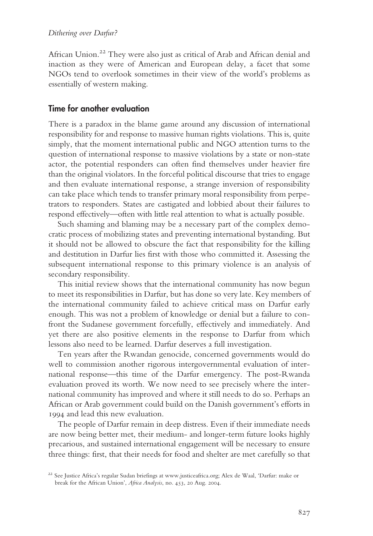African Union.<sup>22</sup> They were also just as critical of Arab and African denial and inaction as they were of American and European delay, a facet that some NGOs tend to overlook sometimes in their view of the world's problems as essentially of western making.

## **Time for another evaluation**

There is a paradox in the blame game around any discussion of international responsibility for and response to massive human rights violations. This is, quite simply, that the moment international public and NGO attention turns to the question of international response to massive violations by a state or non-state actor, the potential responders can often find themselves under heavier fire than the original violators. In the forceful political discourse that tries to engage and then evaluate international response, a strange inversion of responsibility can take place which tends to transfer primary moral responsibility from perpetrators to responders. States are castigated and lobbied about their failures to respond effectively—often with little real attention to what is actually possible.

Such shaming and blaming may be a necessary part of the complex democratic process of mobilizing states and preventing international bystanding. But it should not be allowed to obscure the fact that responsibility for the killing and destitution in Darfur lies first with those who committed it. Assessing the subsequent international response to this primary violence is an analysis of secondary responsibility.

This initial review shows that the international community has now begun to meet its responsibilities in Darfur, but has done so very late. Key members of the international community failed to achieve critical mass on Darfur early enough. This was not a problem of knowledge or denial but a failure to confront the Sudanese government forcefully, effectively and immediately. And yet there are also positive elements in the response to Darfur from which lessons also need to be learned. Darfur deserves a full investigation.

Ten years after the Rwandan genocide, concerned governments would do well to commission another rigorous intergovernmental evaluation of international response—this time of the Darfur emergency. The post-Rwanda evaluation proved its worth. We now need to see precisely where the international community has improved and where it still needs to do so. Perhaps an African or Arab government could build on the Danish government's efforts in 1994 and lead this new evaluation.

The people of Darfur remain in deep distress. Even if their immediate needs are now being better met, their medium- and longer-term future looks highly precarious, and sustained international engagement will be necessary to ensure three things: first, that their needs for food and shelter are met carefully so that

<sup>&</sup>lt;sup>22</sup> See Justice Africa's regular Sudan briefings at www.justiceafrica.org; Alex de Waal, 'Darfur: make or break for the African Union', *Africa Analysis*, no. 453, 20 Aug. 2004.